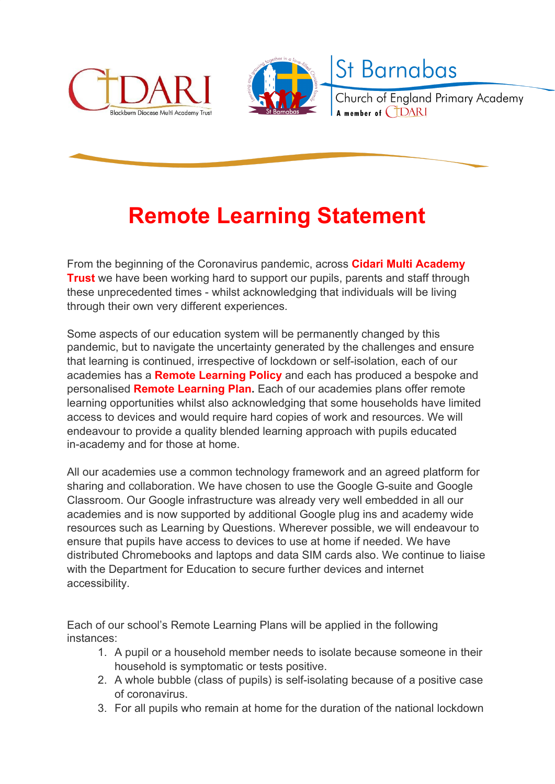



St Barnabas

Church of England Primary Academy A member of **CIDARI** 

## **Remote Learning Statement**

From the beginning of the Coronavirus pandemic, across **Cidari Multi Academy Trust** we have been working hard to support our pupils, parents and staff through these unprecedented times - whilst acknowledging that individuals will be living through their own very different experiences.

Some aspects of our education system will be permanently changed by this pandemic, but to navigate the uncertainty generated by the challenges and ensure that learning is continued, irrespective of lockdown or self-isolation, each of our academies has a **Remote Learning Policy** and each has produced a bespoke and personalised **Remote Learning Plan.** Each of our academies plans offer remote learning opportunities whilst also acknowledging that some households have limited access to devices and would require hard copies of work and resources. We will endeavour to provide a quality blended learning approach with pupils educated in-academy and for those at home.

All our academies use a common technology framework and an agreed platform for sharing and collaboration. We have chosen to use the Google G-suite and Google Classroom. Our Google infrastructure was already very well embedded in all our academies and is now supported by additional Google plug ins and academy wide resources such as Learning by Questions. Wherever possible, we will endeavour to ensure that pupils have access to devices to use at home if needed. We have distributed Chromebooks and laptops and data SIM cards also. We continue to liaise with the Department for Education to secure further devices and internet accessibility.

Each of our school's Remote Learning Plans will be applied in the following instances:

- 1. A pupil or a household member needs to isolate because someone in their household is symptomatic or tests positive.
- 2. A whole bubble (class of pupils) is self-isolating because of a positive case of coronavirus.
- 3. For all pupils who remain at home for the duration of the national lockdown